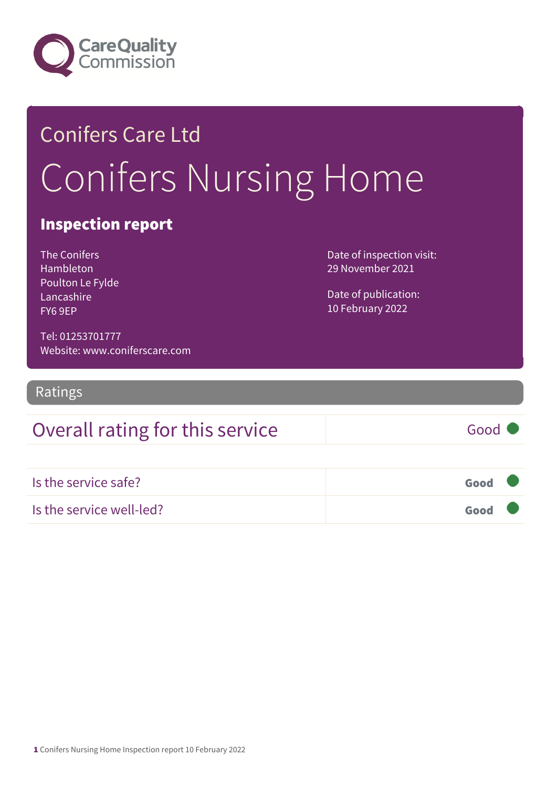

# Conifers Care Ltd Conifers Nursing Home

### Inspection report

The Conifers Hambleton Poulton Le Fylde Lancashire FY6 9EP

Date of inspection visit: 29 November 2021

Date of publication: 10 February 2022

Tel: 01253701777 Website: www.coniferscare.com

Ratings

### Overall rating for this service Good

Is the service safe? Good Is the service well-led? Good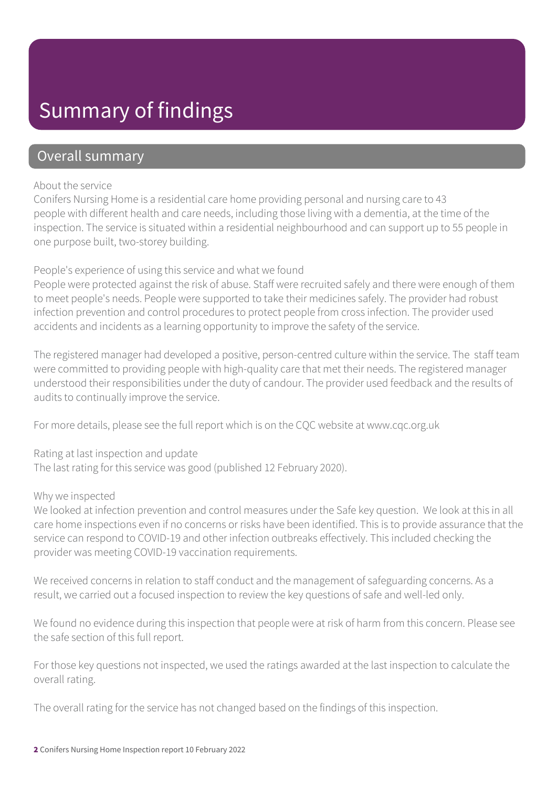## Summary of findings

### Overall summary

#### About the service

Conifers Nursing Home is a residential care home providing personal and nursing care to 43 people with different health and care needs, including those living with a dementia, at the time of the inspection. The service is situated within a residential neighbourhood and can support up to 55 people in one purpose built, two-storey building.

#### People's experience of using this service and what we found

People were protected against the risk of abuse. Staff were recruited safely and there were enough of them to meet people's needs. People were supported to take their medicines safely. The provider had robust infection prevention and control procedures to protect people from cross infection. The provider used accidents and incidents as a learning opportunity to improve the safety of the service.

The registered manager had developed a positive, person-centred culture within the service. The staff team were committed to providing people with high-quality care that met their needs. The registered manager understood their responsibilities under the duty of candour. The provider used feedback and the results of audits to continually improve the service.

For more details, please see the full report which is on the CQC website at www.cqc.org.uk

Rating at last inspection and update The last rating for this service was good (published 12 February 2020).

#### Why we inspected

We looked at infection prevention and control measures under the Safe key question. We look at this in all care home inspections even if no concerns or risks have been identified. This is to provide assurance that the service can respond to COVID-19 and other infection outbreaks effectively. This included checking the provider was meeting COVID-19 vaccination requirements.

We received concerns in relation to staff conduct and the management of safeguarding concerns. As a result, we carried out a focused inspection to review the key questions of safe and well-led only.

We found no evidence during this inspection that people were at risk of harm from this concern. Please see the safe section of this full report.

For those key questions not inspected, we used the ratings awarded at the last inspection to calculate the overall rating.

The overall rating for the service has not changed based on the findings of this inspection.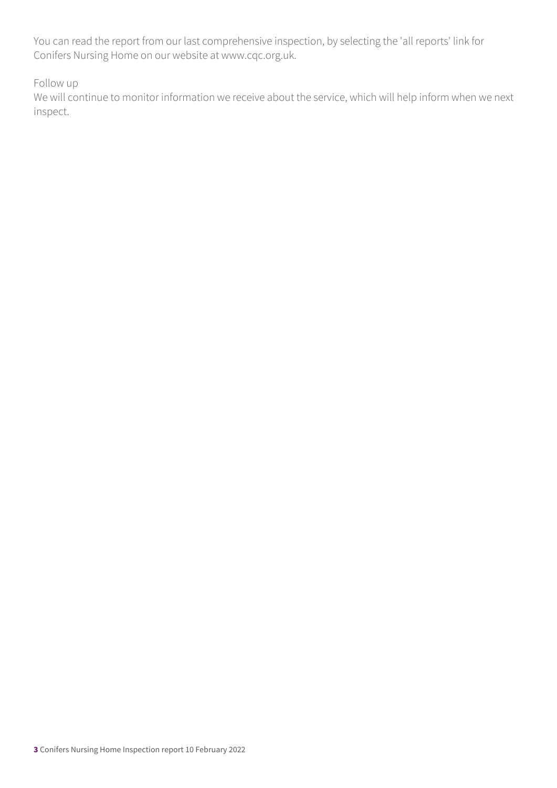You can read the report from our last comprehensive inspection, by selecting the 'all reports' link for Conifers Nursing Home on our website at www.cqc.org.uk.

Follow up

We will continue to monitor information we receive about the service, which will help inform when we next inspect.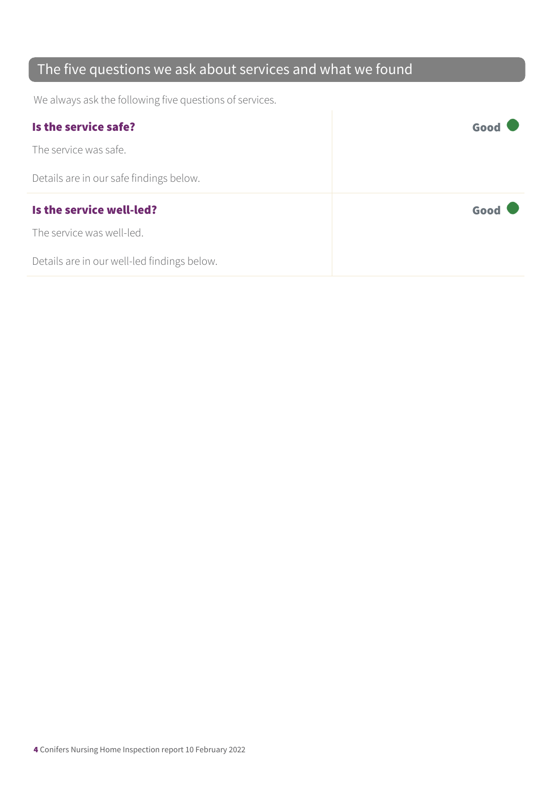### The five questions we ask about services and what we found

We always ask the following five questions of services.

| Is the service safe?                    | Good |
|-----------------------------------------|------|
| The service was safe.                   |      |
| Details are in our safe findings below. |      |
|                                         |      |
| Is the service well-led?                | Good |
| The service was well-led.               |      |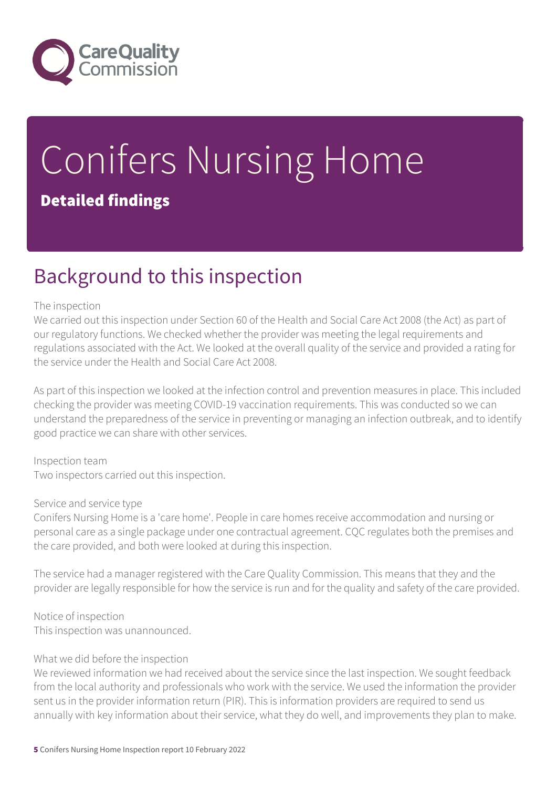

# Conifers Nursing Home Detailed findings

## Background to this inspection

#### The inspection

We carried out this inspection under Section 60 of the Health and Social Care Act 2008 (the Act) as part of our regulatory functions. We checked whether the provider was meeting the legal requirements and regulations associated with the Act. We looked at the overall quality of the service and provided a rating for the service under the Health and Social Care Act 2008.

As part of this inspection we looked at the infection control and prevention measures in place. This included checking the provider was meeting COVID-19 vaccination requirements. This was conducted so we can understand the preparedness of the service in preventing or managing an infection outbreak, and to identify good practice we can share with other services.

Inspection team Two inspectors carried out this inspection.

#### Service and service type

Conifers Nursing Home is a 'care home'. People in care homes receive accommodation and nursing or personal care as a single package under one contractual agreement. CQC regulates both the premises and the care provided, and both were looked at during this inspection.

The service had a manager registered with the Care Quality Commission. This means that they and the provider are legally responsible for how the service is run and for the quality and safety of the care provided.

Notice of inspection This inspection was unannounced.

#### What we did before the inspection

We reviewed information we had received about the service since the last inspection. We sought feedback from the local authority and professionals who work with the service. We used the information the provider sent us in the provider information return (PIR). This is information providers are required to send us annually with key information about their service, what they do well, and improvements they plan to make.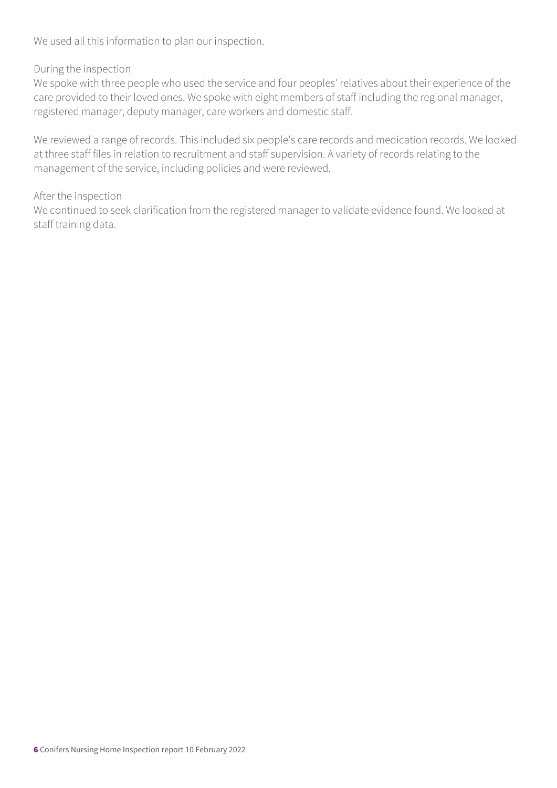We used all this information to plan our inspection.

#### During the inspection

We spoke with three people who used the service and four peoples' relatives about their experience of the care provided to their loved ones. We spoke with eight members of staff including the regional manager, registered manager, deputy manager, care workers and domestic staff.

We reviewed a range of records. This included six people's care records and medication records. We looked at three staff files in relation to recruitment and staff supervision. A variety of records relating to the management of the service, including policies and were reviewed.

#### After the inspection

We continued to seek clarification from the registered manager to validate evidence found. We looked at staff training data.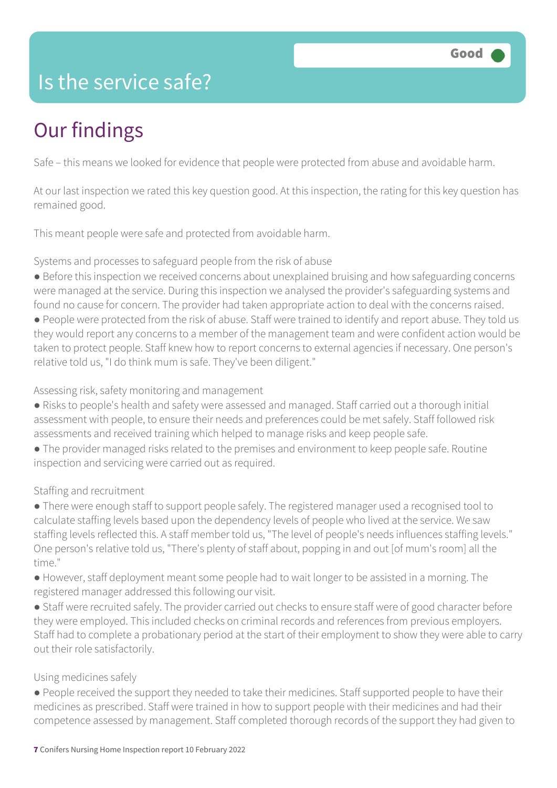### Is the service safe?

# Our findings

Safe – this means we looked for evidence that people were protected from abuse and avoidable harm.

At our last inspection we rated this key question good. At this inspection, the rating for this key question has remained good.

This meant people were safe and protected from avoidable harm.

Systems and processes to safeguard people from the risk of abuse

- Before this inspection we received concerns about unexplained bruising and how safeguarding concerns were managed at the service. During this inspection we analysed the provider's safeguarding systems and found no cause for concern. The provider had taken appropriate action to deal with the concerns raised.
- People were protected from the risk of abuse. Staff were trained to identify and report abuse. They told us they would report any concerns to a member of the management team and were confident action would be taken to protect people. Staff knew how to report concerns to external agencies if necessary. One person's relative told us, "I do think mum is safe. They've been diligent."

Assessing risk, safety monitoring and management

- Risks to people's health and safety were assessed and managed. Staff carried out a thorough initial assessment with people, to ensure their needs and preferences could be met safely. Staff followed risk assessments and received training which helped to manage risks and keep people safe.
- The provider managed risks related to the premises and environment to keep people safe. Routine inspection and servicing were carried out as required.

Staffing and recruitment

● There were enough staff to support people safely. The registered manager used a recognised tool to calculate staffing levels based upon the dependency levels of people who lived at the service. We saw staffing levels reflected this. A staff member told us, "The level of people's needs influences staffing levels." One person's relative told us, "There's plenty of staff about, popping in and out [of mum's room] all the time."

● However, staff deployment meant some people had to wait longer to be assisted in a morning. The registered manager addressed this following our visit.

● Staff were recruited safely. The provider carried out checks to ensure staff were of good character before they were employed. This included checks on criminal records and references from previous employers. Staff had to complete a probationary period at the start of their employment to show they were able to carry out their role satisfactorily.

#### Using medicines safely

● People received the support they needed to take their medicines. Staff supported people to have their medicines as prescribed. Staff were trained in how to support people with their medicines and had their competence assessed by management. Staff completed thorough records of the support they had given to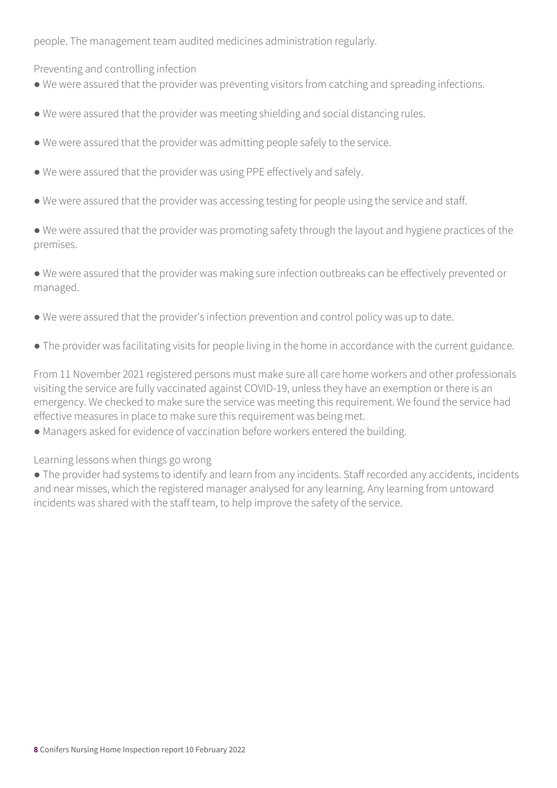people. The management team audited medicines administration regularly.

Preventing and controlling infection

- We were assured that the provider was preventing visitors from catching and spreading infections.
- We were assured that the provider was meeting shielding and social distancing rules.
- We were assured that the provider was admitting people safely to the service.
- We were assured that the provider was using PPE effectively and safely.
- We were assured that the provider was accessing testing for people using the service and staff.
- We were assured that the provider was promoting safety through the layout and hygiene practices of the premises.
- We were assured that the provider was making sure infection outbreaks can be effectively prevented or managed.
- We were assured that the provider's infection prevention and control policy was up to date.
- The provider was facilitating visits for people living in the home in accordance with the current guidance.

From 11 November 2021 registered persons must make sure all care home workers and other professionals visiting the service are fully vaccinated against COVID-19, unless they have an exemption or there is an emergency. We checked to make sure the service was meeting this requirement. We found the service had effective measures in place to make sure this requirement was being met.

● Managers asked for evidence of vaccination before workers entered the building.

Learning lessons when things go wrong

● The provider had systems to identify and learn from any incidents. Staff recorded any accidents, incidents and near misses, which the registered manager analysed for any learning. Any learning from untoward incidents was shared with the staff team, to help improve the safety of the service.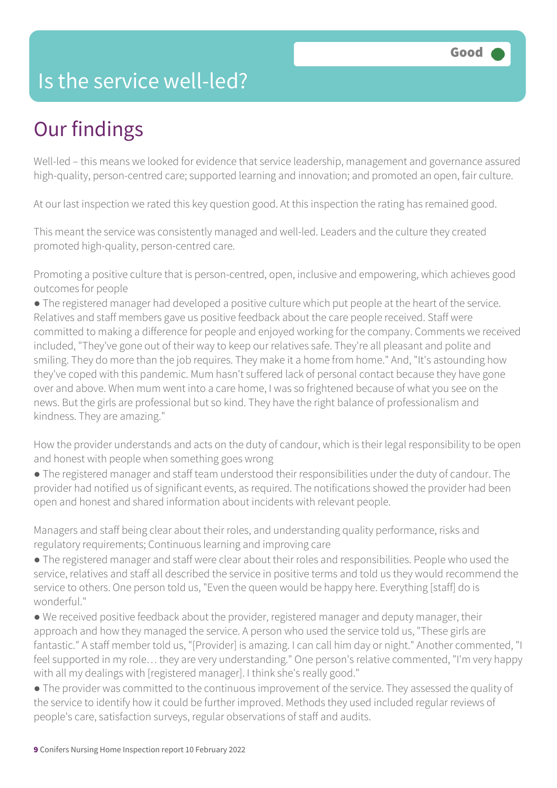### Is the service well-led?

# Our findings

Well-led – this means we looked for evidence that service leadership, management and governance assured high-quality, person-centred care; supported learning and innovation; and promoted an open, fair culture.

At our last inspection we rated this key question good. At this inspection the rating has remained good.

This meant the service was consistently managed and well-led. Leaders and the culture they created promoted high-quality, person-centred care.

Promoting a positive culture that is person-centred, open, inclusive and empowering, which achieves good outcomes for people

● The registered manager had developed a positive culture which put people at the heart of the service. Relatives and staff members gave us positive feedback about the care people received. Staff were committed to making a difference for people and enjoyed working for the company. Comments we received included, "They've gone out of their way to keep our relatives safe. They're all pleasant and polite and smiling. They do more than the job requires. They make it a home from home." And, "It's astounding how they've coped with this pandemic. Mum hasn't suffered lack of personal contact because they have gone over and above. When mum went into a care home, I was so frightened because of what you see on the news. But the girls are professional but so kind. They have the right balance of professionalism and kindness. They are amazing."

How the provider understands and acts on the duty of candour, which is their legal responsibility to be open and honest with people when something goes wrong

● The registered manager and staff team understood their responsibilities under the duty of candour. The provider had notified us of significant events, as required. The notifications showed the provider had been open and honest and shared information about incidents with relevant people.

Managers and staff being clear about their roles, and understanding quality performance, risks and regulatory requirements; Continuous learning and improving care

● The registered manager and staff were clear about their roles and responsibilities. People who used the service, relatives and staff all described the service in positive terms and told us they would recommend the service to others. One person told us, "Even the queen would be happy here. Everything [staff] do is wonderful."

● We received positive feedback about the provider, registered manager and deputy manager, their approach and how they managed the service. A person who used the service told us, "These girls are fantastic." A staff member told us, "[Provider] is amazing. I can call him day or night." Another commented, "I feel supported in my role… they are very understanding." One person's relative commented, "I'm very happy with all my dealings with [registered manager]. I think she's really good."

● The provider was committed to the continuous improvement of the service. They assessed the quality of the service to identify how it could be further improved. Methods they used included regular reviews of people's care, satisfaction surveys, regular observations of staff and audits.